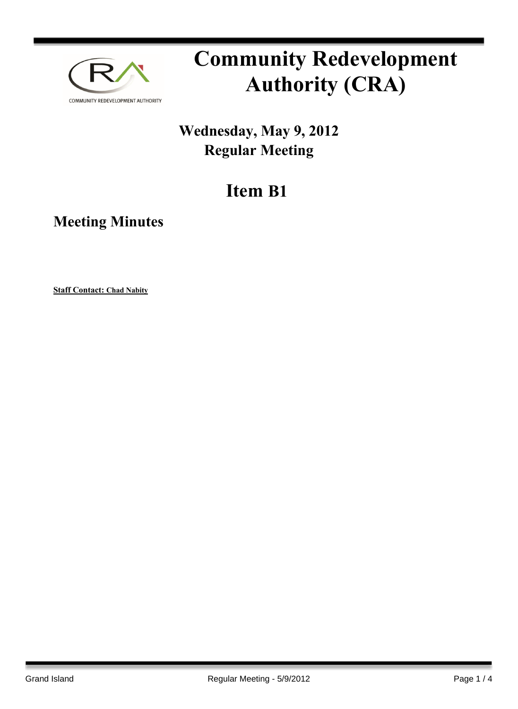

# **Community Redevelopment Authority (CRA)**

### **Wednesday, May 9, 2012 Regular Meeting**

## **Item B1**

**Meeting Minutes**

**Staff Contact: Chad Nabity**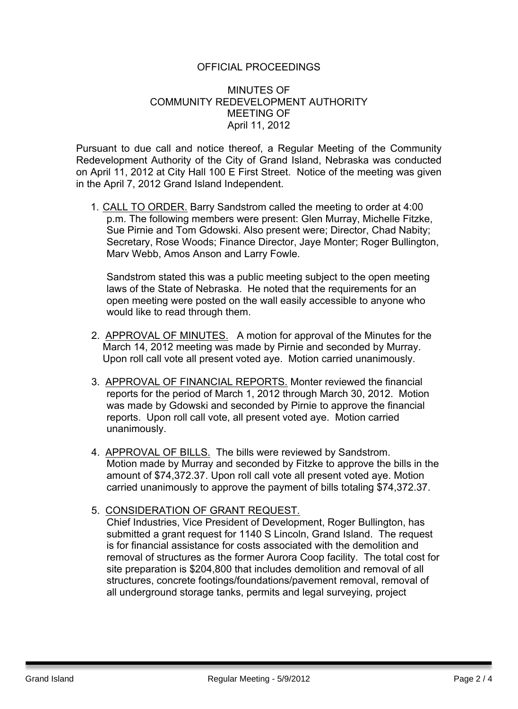#### OFFICIAL PROCEEDINGS

#### MINUTES OF COMMUNITY REDEVELOPMENT AUTHORITY MEETING OF April 11, 2012

Pursuant to due call and notice thereof, a Regular Meeting of the Community Redevelopment Authority of the City of Grand Island, Nebraska was conducted on April 11, 2012 at City Hall 100 E First Street. Notice of the meeting was given in the April 7, 2012 Grand Island Independent.

1. CALL TO ORDER. Barry Sandstrom called the meeting to order at 4:00 p.m. The following members were present: Glen Murray, Michelle Fitzke, Sue Pirnie and Tom Gdowski. Also present were; Director, Chad Nabity; Secretary, Rose Woods; Finance Director, Jaye Monter; Roger Bullington, Marv Webb, Amos Anson and Larry Fowle.

Sandstrom stated this was a public meeting subject to the open meeting laws of the State of Nebraska. He noted that the requirements for an open meeting were posted on the wall easily accessible to anyone who would like to read through them.

- 2. APPROVAL OF MINUTES. A motion for approval of the Minutes for the March 14, 2012 meeting was made by Pirnie and seconded by Murray. Upon roll call vote all present voted aye. Motion carried unanimously.
- 3. APPROVAL OF FINANCIAL REPORTS. Monter reviewed the financial reports for the period of March 1, 2012 through March 30, 2012. Motion was made by Gdowski and seconded by Pirnie to approve the financial reports. Upon roll call vote, all present voted aye. Motion carried unanimously.
- 4. APPROVAL OF BILLS. The bills were reviewed by Sandstrom. Motion made by Murray and seconded by Fitzke to approve the bills in the amount of \$74,372.37. Upon roll call vote all present voted aye. Motion carried unanimously to approve the payment of bills totaling \$74,372.37.
- 5. CONSIDERATION OF GRANT REQUEST.

Chief Industries, Vice President of Development, Roger Bullington, has submitted a grant request for 1140 S Lincoln, Grand Island. The request is for financial assistance for costs associated with the demolition and removal of structures as the former Aurora Coop facility. The total cost for site preparation is \$204,800 that includes demolition and removal of all structures, concrete footings/foundations/pavement removal, removal of all underground storage tanks, permits and legal surveying, project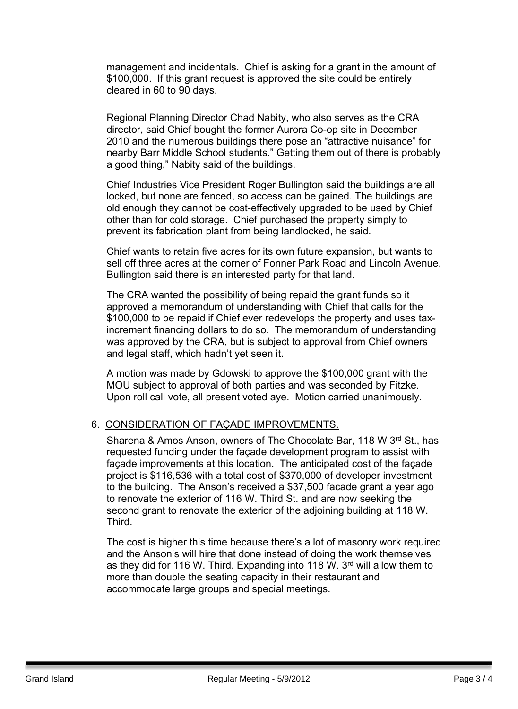management and incidentals. Chief is asking for a grant in the amount of \$100,000. If this grant request is approved the site could be entirely cleared in 60 to 90 days.

Regional Planning Director Chad Nabity, who also serves as the CRA director, said Chief bought the former Aurora Co-op site in December 2010 and the numerous buildings there pose an "attractive nuisance" for nearby Barr Middle School students." Getting them out of there is probably a good thing," Nabity said of the buildings.

Chief Industries Vice President Roger Bullington said the buildings are all locked, but none are fenced, so access can be gained. The buildings are old enough they cannot be cost-effectively upgraded to be used by Chief other than for cold storage. Chief purchased the property simply to prevent its fabrication plant from being landlocked, he said.

Chief wants to retain five acres for its own future expansion, but wants to sell off three acres at the corner of Fonner Park Road and Lincoln Avenue. Bullington said there is an interested party for that land.

The CRA wanted the possibility of being repaid the grant funds so it approved a memorandum of understanding with Chief that calls for the \$100,000 to be repaid if Chief ever redevelops the property and uses taxincrement financing dollars to do so. The memorandum of understanding was approved by the CRA, but is subject to approval from Chief owners and legal staff, which hadn't yet seen it.

A motion was made by Gdowski to approve the \$100,000 grant with the MOU subject to approval of both parties and was seconded by Fitzke. Upon roll call vote, all present voted aye. Motion carried unanimously.

#### 6. CONSIDERATION OF FAÇADE IMPROVEMENTS.

Sharena & Amos Anson, owners of The Chocolate Bar, 118 W 3rd St., has requested funding under the façade development program to assist with façade improvements at this location. The anticipated cost of the façade project is \$116,536 with a total cost of \$370,000 of developer investment to the building. The Anson's received a \$37,500 facade grant a year ago to renovate the exterior of 116 W. Third St. and are now seeking the second grant to renovate the exterior of the adjoining building at 118 W. Third.

The cost is higher this time because there's a lot of masonry work required and the Anson's will hire that done instead of doing the work themselves as they did for 116 W. Third. Expanding into 118 W. 3<sup>rd</sup> will allow them to more than double the seating capacity in their restaurant and accommodate large groups and special meetings.